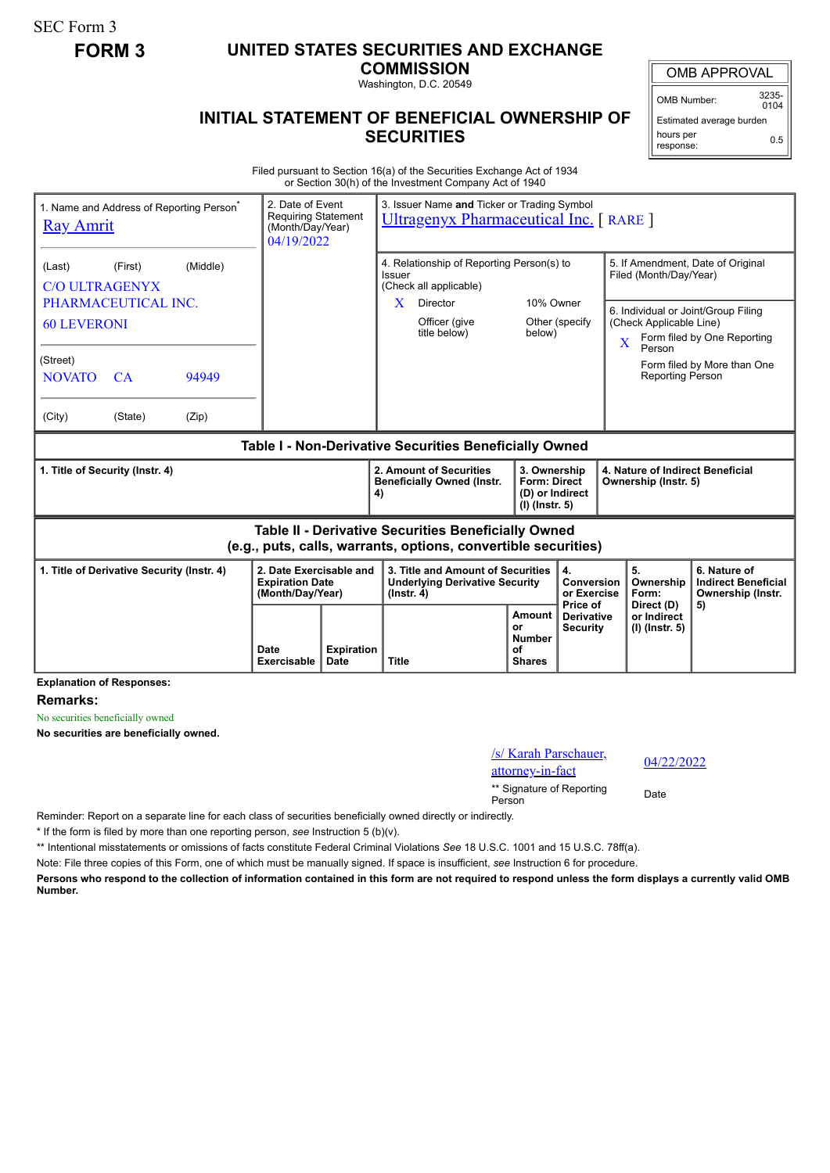SEC Form 3

## **FORM 3 UNITED STATES SECURITIES AND EXCHANGE**

**COMMISSION** Washington, D.C. 20549

OMB APPROVAL

OMB Number: 3235-  $0104$ 

## **INITIAL STATEMENT OF BENEFICIAL OWNERSHIP OF SECURITIES**

Estimated average burden hours per response: 0.5

Filed pursuant to Section 16(a) of the Securities Exchange Act of 1934 or Section 30(h) of the Investment Company Act of 1940

| 1. Name and Address of Reporting Person <sup>®</sup><br><b>Ray Amrit</b> |                                            |          | 2. Date of Event<br><b>Requiring Statement</b><br>(Month/Day/Year)<br>04/19/2022 |                                                                                      | 3. Issuer Name and Ticker or Trading Symbol<br><b>Ultragenyx Pharmaceutical Inc.</b> [RARE ]                                 |                                                                     |                                                             |  |                                                                                                                                    |                                                                       |
|--------------------------------------------------------------------------|--------------------------------------------|----------|----------------------------------------------------------------------------------|--------------------------------------------------------------------------------------|------------------------------------------------------------------------------------------------------------------------------|---------------------------------------------------------------------|-------------------------------------------------------------|--|------------------------------------------------------------------------------------------------------------------------------------|-----------------------------------------------------------------------|
| (Last)<br><b>C/O ULTRAGENYX</b>                                          | (First)                                    | (Middle) |                                                                                  | 4. Relationship of Reporting Person(s) to<br><b>Issuer</b><br>(Check all applicable) |                                                                                                                              |                                                                     | 5. If Amendment, Date of Original<br>Filed (Month/Day/Year) |  |                                                                                                                                    |                                                                       |
| PHARMACEUTICAL INC.<br><b>60 LEVERONI</b>                                |                                            |          |                                                                                  |                                                                                      | Director<br>X.<br>Officer (give<br>title below)                                                                              | 10% Owner<br>below)                                                 | Other (specify                                              |  | 6. Individual or Joint/Group Filing<br>(Check Applicable Line)<br>Form filed by One Reporting<br>$\overline{\mathbf{X}}$<br>Person |                                                                       |
| (Street)<br><b>NOVATO</b>                                                | <b>CA</b>                                  | 94949    |                                                                                  |                                                                                      |                                                                                                                              |                                                                     |                                                             |  | <b>Reporting Person</b>                                                                                                            | Form filed by More than One                                           |
| (City)                                                                   | (State)                                    | (Zip)    |                                                                                  |                                                                                      |                                                                                                                              |                                                                     |                                                             |  |                                                                                                                                    |                                                                       |
| Table I - Non-Derivative Securities Beneficially Owned                   |                                            |          |                                                                                  |                                                                                      |                                                                                                                              |                                                                     |                                                             |  |                                                                                                                                    |                                                                       |
|                                                                          |                                            |          |                                                                                  |                                                                                      |                                                                                                                              |                                                                     |                                                             |  |                                                                                                                                    |                                                                       |
|                                                                          | 1. Title of Security (Instr. 4)            |          |                                                                                  |                                                                                      | 2. Amount of Securities<br><b>Beneficially Owned (Instr.</b><br>4)                                                           | 3. Ownership<br>Form: Direct<br>(D) or Indirect<br>$(I)$ (lnstr. 5) |                                                             |  | 4. Nature of Indirect Beneficial<br>Ownership (Instr. 5)                                                                           |                                                                       |
|                                                                          |                                            |          |                                                                                  |                                                                                      | <b>Table II - Derivative Securities Beneficially Owned</b><br>(e.g., puts, calls, warrants, options, convertible securities) |                                                                     |                                                             |  |                                                                                                                                    |                                                                       |
|                                                                          | 1. Title of Derivative Security (Instr. 4) |          | 2. Date Exercisable and<br><b>Expiration Date</b><br>(Month/Day/Year)            |                                                                                      | 3. Title and Amount of Securities<br><b>Underlying Derivative Security</b><br>$($ lnstr. 4 $)$                               |                                                                     | 4.<br>Conversion<br>or Exercise<br>Price of                 |  | 5.<br>Ownership<br>Form:<br>Direct (D)                                                                                             | 6. Nature of<br><b>Indirect Beneficial</b><br>Ownership (Instr.<br>5) |

**Explanation of Responses:**

**Remarks:**

No securities beneficially owned

**No securities are beneficially owned.**

| /s/ Karah Parschauer,               | 04/2 |
|-------------------------------------|------|
| attorney-in-fact                    |      |
| ** Signature of Reporting<br>Person | Date |

04/22/2022

Reminder: Report on a separate line for each class of securities beneficially owned directly or indirectly.

\* If the form is filed by more than one reporting person, *see* Instruction 5 (b)(v).

\*\* Intentional misstatements or omissions of facts constitute Federal Criminal Violations *See* 18 U.S.C. 1001 and 15 U.S.C. 78ff(a).

Note: File three copies of this Form, one of which must be manually signed. If space is insufficient, *see* Instruction 6 for procedure.

**Persons who respond to the collection of information contained in this form are not required to respond unless the form displays a currently valid OMB Number.**